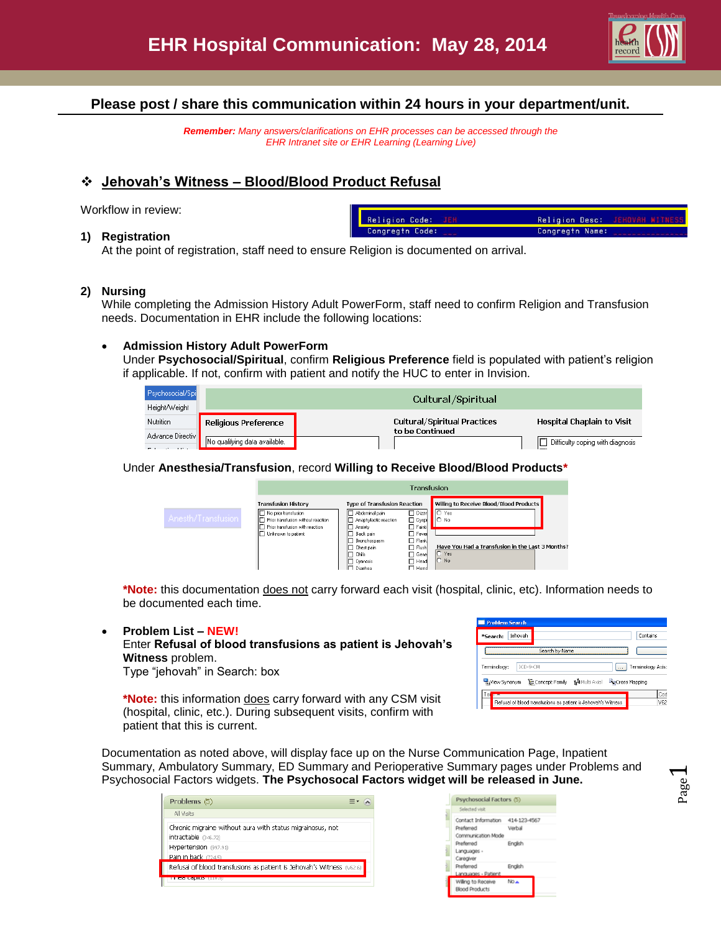

# **Please post / share this communication within 24 hours in your department/unit.**

*Remember: Many answers/clarifications on EHR processes can be accessed through the EHR Intranet site or EHR Learning (Learning Live)*

# **Jehovah's Witness – Blood/Blood Product Refusal**

Workflow in review:

#### **1) Registration**

| Religion Code: JEH | Religion Desc: JEHOVAH WITNESS |                                        |
|--------------------|--------------------------------|----------------------------------------|
| Congregtn Code:    | Congregtn Name:                | <b>The component of the components</b> |

At the point of registration, staff need to ensure Religion is documented on arrival.

### **2) Nursing**

While completing the Admission History Adult PowerForm, staff need to confirm Religion and Transfusion needs. Documentation in EHR include the following locations:

#### **Admission History Adult PowerForm**

Under **Psychosocial/Spiritual**, confirm **Religious Preference** field is populated with patient's religion if applicable. If not, confirm with patient and notify the HUC to enter in Invision.

| Psychosocial/Spi | Cultural/Spiritual            |                                                 |                                    |  |  |  |
|------------------|-------------------------------|-------------------------------------------------|------------------------------------|--|--|--|
| Height/Weight    |                               |                                                 |                                    |  |  |  |
| Nutrition        | Religious Preference          | Cultural/Spiritual Practices<br>to be Continued | Hospital Chaplain to Visit         |  |  |  |
| Advance Directiv | No qualifying data available. |                                                 | □ Difficulty coping with diagnosis |  |  |  |

#### Under **Anesthesia/Transfusion**, record **Willing to Receive Blood/Blood Products\***

|                    | Transfusion                                                                                                                                       |                                                                                                                                                                                                                           |                                                                                                                                             |                                                                                                                                               |
|--------------------|---------------------------------------------------------------------------------------------------------------------------------------------------|---------------------------------------------------------------------------------------------------------------------------------------------------------------------------------------------------------------------------|---------------------------------------------------------------------------------------------------------------------------------------------|-----------------------------------------------------------------------------------------------------------------------------------------------|
| Anesth/Transfusion | <b>Transfusion History</b><br>No prior transfusion<br>Prior transfusion without reaction<br>Prior transfusion with reaction<br>Unknown to patient | <b>Type of Transfusion Reaction</b><br>ITI Abdominal pain<br>Anaphylactic reaction<br>I⊟ Anxiety<br>F Back pain<br>ITI Bronchospasm<br><b>T</b> Chest pain<br>$\Box$ Chills<br><b>T</b> Cyanosis<br>I <sup>n</sup> Diamea | $\Box$ Dizzir<br>$\Box$ Dyspi<br>$\Box$ Fainti<br>$\Box$ Fevel<br>$\Box$ Flank<br>$\Box$ Flush<br>$\Box$ Gene<br>$\Box$ Head<br>$\Box$ Hemd | Willing to Receive Blood/Blood Products<br>$O$ Yes<br>IO No<br>Have You Had a Transfusion in the Last 3 Months?<br>$\bigcap$ Yes<br>$\cap$ No |

**\*Note:** this documentation does not carry forward each visit (hospital, clinic, etc). Information needs to be documented each time.

#### **Problem List – NEW!**

Enter **Refusal of blood transfusions as patient is Jehovah's Witness** problem.

Type "jehovah" in Search: box

**\*Note:** this information does carry forward with any CSM visit (hospital, clinic, etc.). During subsequent visits, confirm with patient that this is current.

| *Search:     | iehovah  |                                  |                                             | Contains          |
|--------------|----------|----------------------------------|---------------------------------------------|-------------------|
|              |          | Search by Name                   |                                             |                   |
| Terminology: | ICD-9-CM |                                  |                                             | Terminology Axis: |
|              |          | Waylew Synonym E= Concept Family | <b>M</b> Multi Axial <b>Recross Mapping</b> |                   |
|              |          |                                  |                                             |                   |
| Ter<br>п     |          |                                  |                                             | Cod               |

Page  $\overline{\phantom{0}}$ 

Documentation as noted above, will display face up on the Nurse Communication Page, Inpatient Summary, Ambulatory Summary, ED Summary and Perioperative Summary pages under Problems and Psychosocial Factors widgets. **The Psychosocal Factors widget will be released in June.**

| Problems (5)                                                                       |  |
|------------------------------------------------------------------------------------|--|
| All Visits                                                                         |  |
| Chronic migraine without aura with status migrainosus, not<br>intractable (346.72) |  |
| Hypertension (997.91)                                                              |  |
| Pain in back (724.5)                                                               |  |
| Refusal of blood transfusions as patient is Jehovah's Witness (V62.6)              |  |
| <u>TIMO CONTO (1100)</u>                                                           |  |

| Psychosocial Factors (5)                    |              |
|---------------------------------------------|--------------|
| Selected visit                              |              |
| Contact Information                         | 414-123-4567 |
| Preferred<br>Communication Mode             | Verbal       |
| Preferred<br>Languages -<br>Caregiver       | English      |
| Preferred<br>Languages - Patient            | English      |
| Willing to Receive<br><b>Blood Products</b> | No.e         |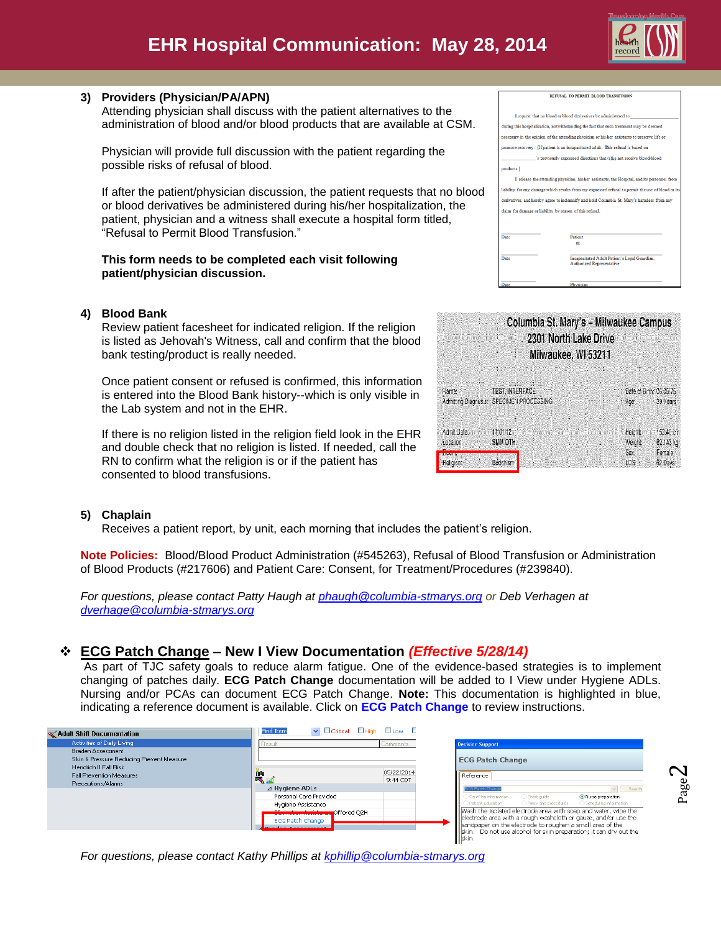

Page  $\boldsymbol{\sim}$ 

## **3) Providers (Physician/PA/APN)**

Attending physician shall discuss with the patient alternatives to the administration of blood and/or blood products that are available at CSM.

Physician will provide full discussion with the patient regarding the possible risks of refusal of blood.

If after the patient/physician discussion, the patient requests that no blood or blood derivatives be administered during his/her hospitalization, the patient, physician and a witness shall execute a hospital form titled, "Refusal to Permit Blood Transfusion."

### **This form needs to be completed each visit following patient/physician discussion.**

## **4) Blood Bank**

Review patient facesheet for indicated religion. If the religion is listed as Jehovah's Witness, call and confirm that the blood bank testing/product is really needed.

Once patient consent or refused is confirmed, this information is entered into the Blood Bank history--which is only visible in the Lab system and not in the EHR.

If there is no religion listed in the religion field look in the EHR and double check that no religion is listed. If needed, call the RN to confirm what the religion is or if the patient has consented to blood transfusions.

| I request that no blood or blood derivatives be administered to |                                                                                                    |  |  |  |  |
|-----------------------------------------------------------------|----------------------------------------------------------------------------------------------------|--|--|--|--|
|                                                                 | during this hospitalization, notwithstanding the fact that such treatment may be deemed            |  |  |  |  |
|                                                                 | necessary in the opinion of the attending physician or his her assistants to preserve life or      |  |  |  |  |
|                                                                 | promote recovery. [If patient is an incapacitated adult: This refusal is based on                  |  |  |  |  |
|                                                                 | 's previously expressed directions that (s)he not receive blood/blood                              |  |  |  |  |
| products.]                                                      |                                                                                                    |  |  |  |  |
|                                                                 | I release the attending physician, his/her assistants, the Hospital, and its personnel from        |  |  |  |  |
|                                                                 | liability for any damage which results from my expressed refusal to permit the use of blood or its |  |  |  |  |
|                                                                 | derivatives, and hereby agree to indemnify and hold Columbia St. Mary's harmless from any          |  |  |  |  |
| claim for damage or liability by reason of this refusal.        |                                                                                                    |  |  |  |  |
|                                                                 |                                                                                                    |  |  |  |  |
|                                                                 |                                                                                                    |  |  |  |  |
| Date                                                            | Patient<br>or                                                                                      |  |  |  |  |
|                                                                 |                                                                                                    |  |  |  |  |
| Date                                                            | Incapacitated Adult Patient's Legal Guardian.<br><b>Authorized Representative</b>                  |  |  |  |  |
|                                                                 |                                                                                                    |  |  |  |  |

Physician

REFUSAL TO PERMIT BLOOD TRANSFUSION

Г

Date

|                               | Columbia St. Mary's - Milwaukee Campus<br>2301 North Lake Drive<br>Milwaukee, WI 53211 |                                              |
|-------------------------------|----------------------------------------------------------------------------------------|----------------------------------------------|
| Name:<br>Admitting Diagnosis: | <b>TEST, INTERFACE</b><br>SPECIMEN PROCESSING                                          | Date of Birth: 05/05/75<br>39 Years<br>Age:  |
| Admit Date:<br>Location       | 11/01/12<br>SMM OTH                                                                    | Height:<br>152.40 cm<br>Weight:<br>62.143 kg |
| まましていり はお<br>Religion:        | <b>Buddhism</b>                                                                        | Sex:<br>Female<br>LOS:<br>62 Days            |

## **5) Chaplain**

Receives a patient report, by unit, each morning that includes the patient's religion.

**Note Policies:** Blood/Blood Product Administration (#545263), Refusal of Blood Transfusion or Administration of Blood Products (#217606) and Patient Care: Consent, for Treatment/Procedures (#239840).

*For questions, please contact Patty Haugh at [phaugh@columbia-stmarys.org](mailto:phaugh@columbia-stmarys.org) or Deb Verhagen at [dverhage@columbia-stmarys.org](mailto:dverhage@columbia-stmarys.org)*

# **ECG Patch Change – New I View Documentation** *(Effective 5/28/14)*

As part of TJC safety goals to reduce alarm fatigue. One of the evidence-based strategies is to implement changing of patches daily. **ECG Patch Change** documentation will be added to I View under Hygiene ADLs. Nursing and/or PCAs can document ECG Patch Change. **Note:** This documentation is highlighted in blue, indicating a reference document is available. Click on **ECG Patch Change** to review instructions.

| Adult Shift Documentation                                | $\blacktriangleright$ $\Box$ Critical $\Box$ High $\Box$ Low $\Box$<br>Find Item           |                        |                                                                                                                                                                                                |
|----------------------------------------------------------|--------------------------------------------------------------------------------------------|------------------------|------------------------------------------------------------------------------------------------------------------------------------------------------------------------------------------------|
| Activities of Daily Living                               | Result                                                                                     | Comments               | <b>Decision Support</b>                                                                                                                                                                        |
| <b>Braden Assessment</b>                                 |                                                                                            |                        |                                                                                                                                                                                                |
| Skin & Pressure Reducing Prevent Measure                 |                                                                                            |                        | <b>ECG Patch Change</b>                                                                                                                                                                        |
| Hendrich II Fall Risk<br><b>Fall Prevention Measures</b> | 削<br><mark>鸭</mark>                                                                        | 05/22/2014<br>9:44 CDT | Reference                                                                                                                                                                                      |
| Precautions/Alarms                                       | ⊿ Hygiene ADLs                                                                             |                        | Search<br>16 Patch Chand                                                                                                                                                                       |
|                                                          | Personal Care Provided                                                                     |                        | ◯ Chart quide<br>CarePlan information<br>Nurse preparation                                                                                                                                     |
|                                                          | Hygiene Assistance                                                                         |                        | ○ Scheduling information<br>Patient education<br>○ Policy and procedures                                                                                                                       |
|                                                          | <b>Elimination-Assistance</b> Offered Q2H<br>ECG Patch Change<br><b>Ruadon Accocconont</b> |                        | Wash the isolated electrode area with soap and water, wipe the<br>lelectrode area with a rough washcloth or gauze, and/or use the<br>sandpaper on the electrode to roughen a small area of the |
|                                                          |                                                                                            |                        | skin. Do not use alcohol for skin preparation; it can dry out the<br>  skin.                                                                                                                   |

*For questions, please contact Kathy Phillips at [kphillip@columbia-stmarys.org](mailto:kphillip@columbia-stmarys.org)*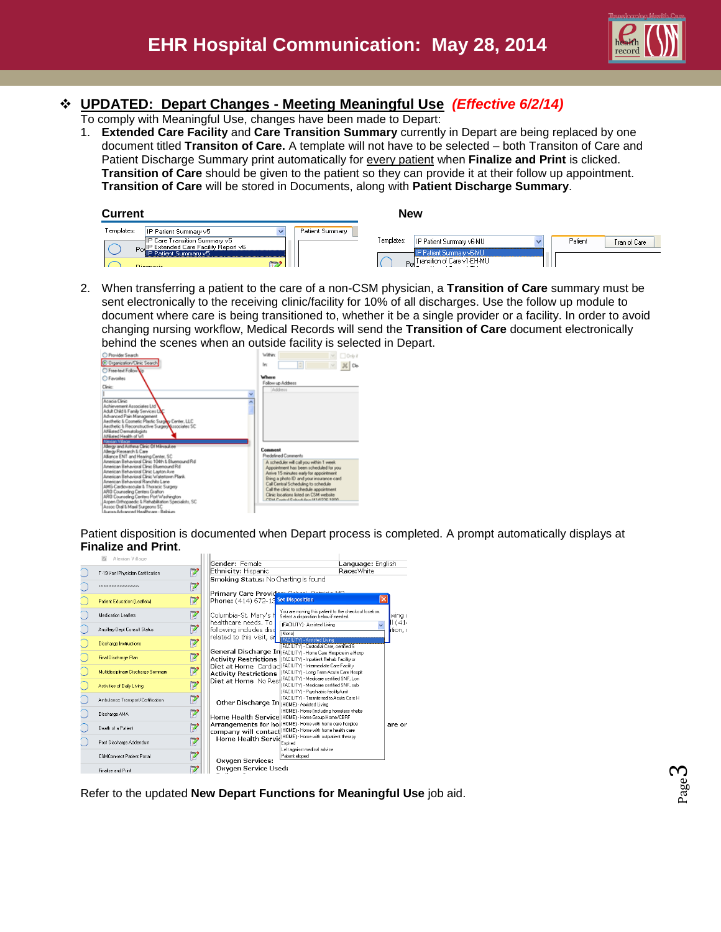

# **UPDATED: Depart Changes - Meeting Meaningful Use** *(Effective 6/2/14)*

To comply with Meaningful Use, changes have been made to Depart:

1. **Extended Care Facility** and **Care Transition Summary** currently in Depart are being replaced by one document titled **Transiton of Care.** A template will not have to be selected – both Transiton of Care and Patient Discharge Summary print automatically for every patient when **Finalize and Print** is clicked. **Transition of Care** should be given to the patient so they can provide it at their follow up appointment. **Transition of Care** will be stored in Documents, along with **Patient Discharge Summary**.

| <b>Current</b> |                                                                                                               |                 | <b>New</b>                                                                                                                       |  |
|----------------|---------------------------------------------------------------------------------------------------------------|-----------------|----------------------------------------------------------------------------------------------------------------------------------|--|
| Templates:     | IP Patient Summary v5<br>IP Care Transition Summary v5<br>PoulP Extended Care Facility Report v6<br>Diagnosis | Patient Summary | Templates:<br>Patient<br>IP Patient Summary v6-MU<br>Tran of Care<br>IP Patient Summary v6-MU<br>Day Transition of Care v1-EH-MU |  |

2. When transferring a patient to the care of a non-CSM physician, a **Transition of Care** summary must be sent electronically to the receiving clinic/facility for 10% of all discharges. Use the follow up module to document where care is being transitioned to, whether it be a single provider or a facility. In order to avoid changing nursing workflow, Medical Records will send the **Transition of Care** document electronically behind the scenes when an outside facility is selected in Depart.

| C Provider Search<br><b>Digerization/Ciric Search</b><br>Free-text Follow to<br><b>O</b> Favorites<br>Clinic:                                                                                                                                                                                                                                                                                                                                                                                                                                                                                                                                                                                                                                                                                                                                                                                   | Within<br>10rdy it<br>$\Rightarrow$<br>Inc<br>Where<br>Follow up Address                                                                                                                                                                                                                                                                                                                        |
|-------------------------------------------------------------------------------------------------------------------------------------------------------------------------------------------------------------------------------------------------------------------------------------------------------------------------------------------------------------------------------------------------------------------------------------------------------------------------------------------------------------------------------------------------------------------------------------------------------------------------------------------------------------------------------------------------------------------------------------------------------------------------------------------------------------------------------------------------------------------------------------------------|-------------------------------------------------------------------------------------------------------------------------------------------------------------------------------------------------------------------------------------------------------------------------------------------------------------------------------------------------------------------------------------------------|
| Acacia Círic<br>Achievement Associates Ltd<br>Arkılt Child & Family Services L<br>Advanced Pain Management<br>Aesthetic & Cosmetic Plastic Surpley Center, LLC<br>Aecthetic & Reconstructive Surgery associates SC<br>Affiliated Dematologists<br>Altikated Health of WI<br><b>National Village</b><br>Allergy and Asthma Clinic Of Milwaukee<br>Allenay Research & Care<br>Alliance ENT and Hearing Center, SC<br>American Behavioral Clinic 104th & Bluemound Rd.<br>American Behavioral Clinic Bluemound Rd<br>American Behavioral Clinic Layton Ave<br>American Behavioral Clinic Watertown Plank.<br>American Behavioral Ranchito Lane<br>AMG-Cardovascular & Thoracic Surgery<br>ARO Counseling Centers Grafton<br>ARD Counseling Centers Port Washington<br>Aspen Difhopaedic & Rehabilitation Specialists, SC<br>Assoc Oral & Maxil Surgeons SC<br>August Achaeond Healthcape - Belgium | Address<br>Comment<br>Predefined Comments<br>A scheduler will call you within 1 week.<br>Appointment has been scheduled for you<br>Anive 15 minutes early for appointment<br>Bring a photo ID and your insurance card<br>Call Central Scheduling to schedule<br>Call the clinic to schedule appointment.<br>Clinic locations listed on CSM website<br>COM Control Calculus April 1970 1970 1970 |

Patient disposition is documented when Depart process is completed. A prompt automatically displays at **Finalize and Print**.

| $\overline{\mathbb{Z}}$<br>Alexian Village         | Gender: Female                                                                                                                                                                        |                                         |
|----------------------------------------------------|---------------------------------------------------------------------------------------------------------------------------------------------------------------------------------------|-----------------------------------------|
|                                                    | Ethnicity: Hispanic                                                                                                                                                                   | <b>Language: English</b><br>Race: White |
| 12<br>T-19 Van/Physician Certification             |                                                                                                                                                                                       |                                         |
| ľ<br><b>RESERVED FOR STRUCK SCIENTIST RESERVED</b> | Smoking Status: No Charting is found<br>Primary Care Provident Cabes Detroit MD                                                                                                       |                                         |
| ľ<br><b>Patient Education (Leaflets)</b>           | Phone: (414) 672-13 Set Disposition                                                                                                                                                   |                                         |
| 12<br>Medication Leaflets                          | You are moving this patient to the checkout location.<br>Columbia-St. Mary's H<br>Select a disposition below if needed.<br>healthcare needs. To                                       | wina t                                  |
| Y<br>Ancillary Dept Consult Status                 | (FACILITY) - Assisted Living<br>following includes disc<br>[None]                                                                                                                     | ،14) ∥<br>tion, r                       |
| ľ<br><b>Discharge Instructions</b>                 | related to this visit, ar<br>[FACILITY] - Assisted Living<br>(FACILITY) - Custodial Care, certified S.                                                                                |                                         |
| ľ<br><b>Final Discharge Plan</b>                   | General Discharge In FACILITY) - Home Care Hospice in a Hosp<br><b>Activity Restrictions</b><br>IFACILITYI - Inpatient Rehab Facility or                                              |                                         |
| 17<br>Multidisciplinary Discharge Summary          | Diet at Home Cardiac (FACILITY) - Intermediate Care Facility<br>[FACILITY] - Long Term Acute Care Hospit<br><b>Activity Restrictions</b><br>(FACILITY) - Medicare certified SNF. Lon. |                                         |
| Y<br>Activities of Daily Living                    | Diet at Home No Rest<br>(FACILITY) - Medicare certified SNF, sub<br>[FACILITY] - Psychiatric facility/unit                                                                            |                                         |
| Y<br>Ambulance Transport/Certification             | IFACILITYI - Trasnferred to Acute Care H<br>Other Discharge In (HOME) - Assisted Living                                                                                               |                                         |
| ľ<br>Discharge AMA                                 | (HOME) - Home (including homeless shelte<br>Home Health Service (HOME) - Home Group Home/CBRF                                                                                         |                                         |
| ľ<br>Death of a Patient                            | Arrangements for ho (HOME) · Home with home care hospice<br>company will contact HOME) Home with home health care                                                                     | are or                                  |
| Y<br>Post Discharge Addendum                       | (HOME) - Home with outpatient therapy<br><b>Home Health Servid</b><br>Expired<br>Left against medical advice                                                                          |                                         |
| 12<br><b>CSMConnect Patient Portal</b>             | Patient eloped<br><b>Oxygen Services:</b>                                                                                                                                             |                                         |
| Finalize and Print                                 | <b>Oxygen Service Used:</b>                                                                                                                                                           |                                         |

Refer to the updated **New Depart Functions for Meaningful Use** job aid.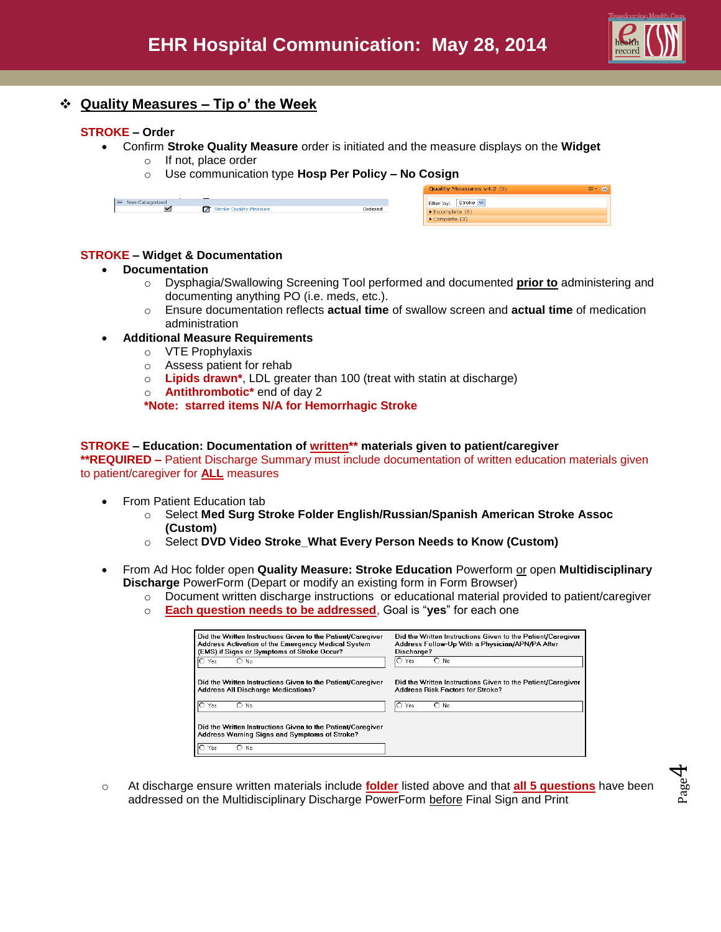

Page  $\overline{\mathcal{A}}$ 

# **Quality Measures – Tip o' the Week**

### **STROKE – Order**

- Confirm **Stroke Quality Measure** order is initiated and the measure displays on the **Widget**
	- o If not, place order
	- o Use communication type **Hosp Per Policy – No Cosign**

| E Non Categorized |                        |         |
|-------------------|------------------------|---------|
|                   | Stroke Quality Measure | Ordered |
|                   |                        |         |

| Quality Measures v4.2 (9)          |  |  |  |
|------------------------------------|--|--|--|
| Filter by:   Stroke v              |  |  |  |
| $\triangleright$ Incomplete (6)    |  |  |  |
| $\blacktriangleright$ Complete (3) |  |  |  |

## **STROKE – Widget & Documentation**

#### **Documentation**

- o Dysphagia/Swallowing Screening Tool performed and documented **prior to** administering and documenting anything PO (i.e. meds, etc.).
- o Ensure documentation reflects **actual time** of swallow screen and **actual time** of medication administration

## **Additional Measure Requirements**

- o VTE Prophylaxis
- o Assess patient for rehab
- o **Lipids drawn\***, LDL greater than 100 (treat with statin at discharge)
- o **Antithrombotic\*** end of day 2

**\*Note: starred items N/A for Hemorrhagic Stroke**

### **STROKE – Education: Documentation of written\*\* materials given to patient/caregiver**

**\*\*REQUIRED –** Patient Discharge Summary must include documentation of written education materials given to patient/caregiver for **ALL** measures

- From Patient Education tab
	- o Select **Med Surg Stroke Folder English/Russian/Spanish American Stroke Assoc (Custom)**
	- o Select **DVD Video Stroke\_What Every Person Needs to Know (Custom)**
- From Ad Hoc folder open **Quality Measure: Stroke Education** Powerform or open **Multidisciplinary Discharge** PowerForm (Depart or modify an existing form in Form Browser)
	- o Document written discharge instructions or educational material provided to patient/caregiver
	- o **Each question needs to be addressed**, Goal is "**yes**" for each one

| Did the Written Instructions Given to the Patient/Caregiver                                                                          | Did the Written Instructions Given to the Patient/Caregiver |  |
|--------------------------------------------------------------------------------------------------------------------------------------|-------------------------------------------------------------|--|
| Address Activation of the Emergency Medical System                                                                                   | Address Follow-Up With a Physician/APN/PA After             |  |
| (EMS) if Signs or Symptoms of Stroke Occur?                                                                                          | Discharge?                                                  |  |
| $O$ No                                                                                                                               | $\bigcap$ No                                                |  |
| Yes                                                                                                                                  | IO Yes                                                      |  |
| Did the Written Instructions Given to the Patient/Caregiver                                                                          | Did the Written Instructions Given to the Patient/Caregiver |  |
| <b>Address All Discharge Medications?</b>                                                                                            | Address Risk Factors for Stroke?                            |  |
| $\bigcirc$ No<br>Yes                                                                                                                 | ∩<br>٦n<br>Yes<br>No                                        |  |
| Did the Written Instructions Given to the Patient/Caregiver<br>Address Warning Signs and Symptoms of Stroke?<br>$\bigcap$ No.<br>Yes |                                                             |  |

o At discharge ensure written materials include **folder** listed above and that **all 5 questions** have been addressed on the Multidisciplinary Discharge PowerForm before Final Sign and Print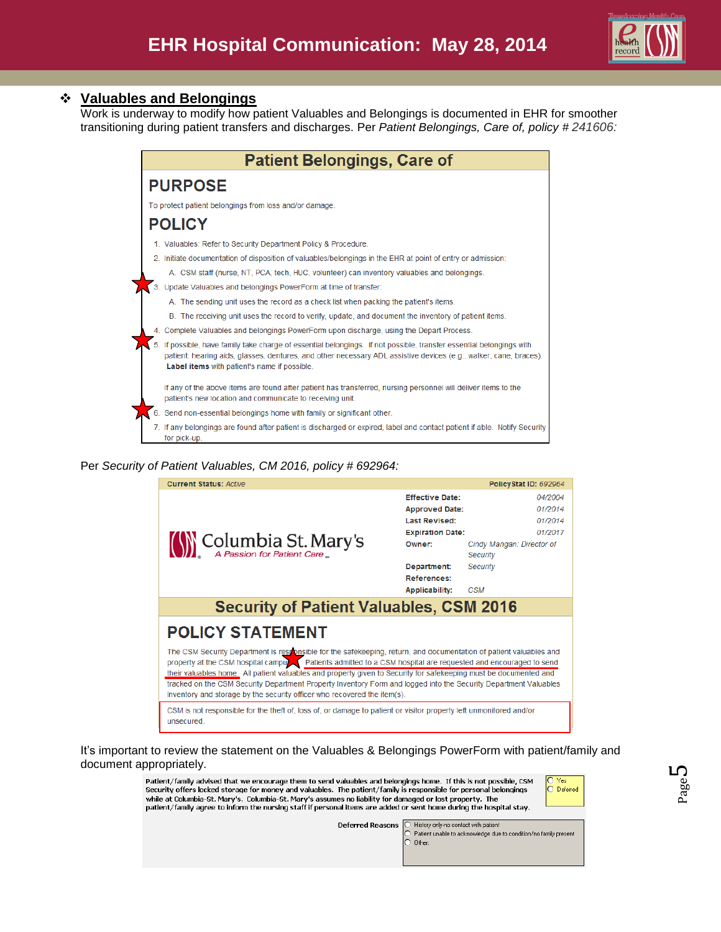

## **Valuables and Belongings**

Work is underway to modify how patient Valuables and Belongings is documented in EHR for smoother transitioning during patient transfers and discharges. Per *Patient Belongings, Care of, policy # 241606:*

| <b>Patient Belongings, Care of</b>                                                                                                                                                                                                                                                        |  |  |  |  |  |
|-------------------------------------------------------------------------------------------------------------------------------------------------------------------------------------------------------------------------------------------------------------------------------------------|--|--|--|--|--|
| <b>PURPOSE</b>                                                                                                                                                                                                                                                                            |  |  |  |  |  |
| To protect patient belongings from loss and/or damage.                                                                                                                                                                                                                                    |  |  |  |  |  |
| <b>POLICY</b>                                                                                                                                                                                                                                                                             |  |  |  |  |  |
| 1. Valuables: Refer to Security Department Policy & Procedure.                                                                                                                                                                                                                            |  |  |  |  |  |
| 2. Initiate documentation of disposition of valuables/belongings in the EHR at point of entry or admission:                                                                                                                                                                               |  |  |  |  |  |
| A. CSM staff (nurse, NT, PCA, tech, HUC, volunteer) can inventory valuables and belongings.                                                                                                                                                                                               |  |  |  |  |  |
| 3. Update Valuables and belongings PowerForm at time of transfer:                                                                                                                                                                                                                         |  |  |  |  |  |
| A. The sending unit uses the record as a check list when packing the patient's items.                                                                                                                                                                                                     |  |  |  |  |  |
| B. The receiving unit uses the record to verify, update, and document the inventory of patient items.                                                                                                                                                                                     |  |  |  |  |  |
| 4. Complete Valuables and belongings PowerForm upon discharge, using the Depart Process.                                                                                                                                                                                                  |  |  |  |  |  |
| 5. If possible, have family take charge of essential belongings. If not possible, transfer essential belongings with<br>patient: hearing aids, glasses, dentures, and other necessary ADL assistive devices (e.g., walker, cane, braces).<br>Label items with patient's name if possible. |  |  |  |  |  |
| If any of the above items are found after patient has transferred, nursing personnel will deliver items to the<br>patient's new location and communicate to receiving unit.                                                                                                               |  |  |  |  |  |
| 6. Send non-essential belongings home with family or significant other.                                                                                                                                                                                                                   |  |  |  |  |  |
| 7. If any belongings are found after patient is discharged or expired, label and contact patient if able. Notify Security<br>for pick-up.                                                                                                                                                 |  |  |  |  |  |

### Per *Security of Patient Valuables, CM 2016, policy # 692964:*



### It's important to review the statement on the Valuables & Belongings PowerForm with patient/family and document appropriately.

Patient/family advised that we encourage them to send valuables and belongings home. If this is not possible, CSM Security offers locked storage for money and valuables. The patient/family is responsible for personal belongings while at Columbia-St. Mary's. Columbia-St. Mary's assumes no liability for damaged or lost property. The patient/family agree to inform the nursing staff if personal items are added or sent home during the hospital stay.



History only-no contact with patient **Deferred Reasons** Patient unable to acknowledge due to condition/no family present Other: